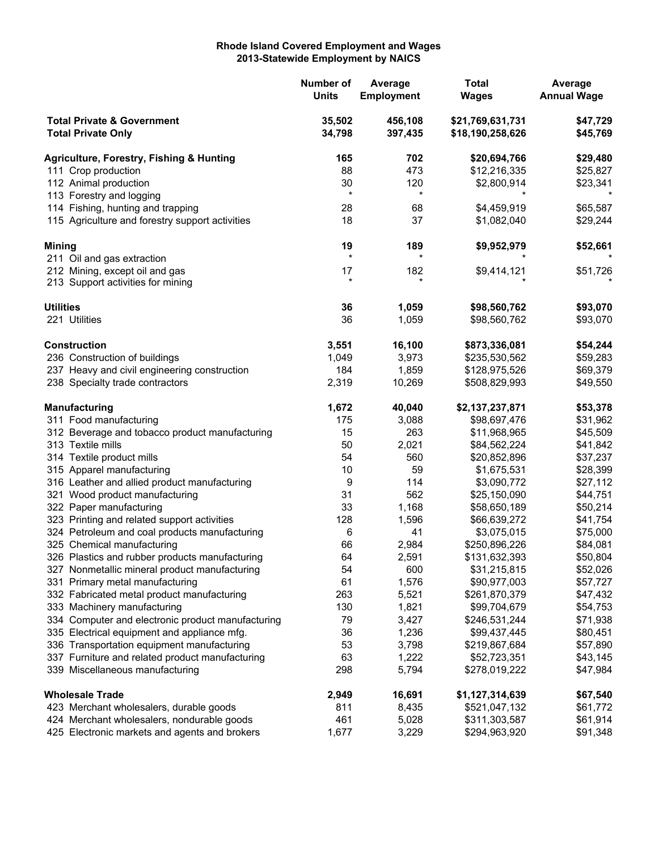## **Rhode Island Covered Employment and Wages 2013-Statewide Employment by NAICS**

| <b>Total Private &amp; Government</b><br>35,502<br>456,108<br>\$21,769,631,731<br>\$47,729<br>34,798<br><b>Total Private Only</b><br>397,435<br>\$18,190,258,626<br>\$45,769<br>702<br>165<br>\$20,694,766<br>\$29,480<br><b>Agriculture, Forestry, Fishing &amp; Hunting</b><br>88<br>473<br>111 Crop production<br>\$12,216,335<br>\$25,827<br>112 Animal production<br>30<br>120<br>\$2,800,914<br>\$23,341<br>$\star$<br>$^\star$<br>113 Forestry and logging<br>114 Fishing, hunting and trapping<br>\$65,587<br>28<br>\$4,459,919<br>68<br>115 Agriculture and forestry support activities<br>18<br>37<br>\$1,082,040<br>\$29,244<br>19<br>189<br>\$9,952,979<br>\$52,661<br>$\star$<br>$^\star$<br>211 Oil and gas extraction<br>182<br>212 Mining, except oil and gas<br>17<br>\$9,414,121<br>\$51,726<br>$\star$<br>213 Support activities for mining<br><b>Utilities</b><br>36<br>1,059<br>\$98,560,762<br>\$93,070<br>36<br>1,059<br>221 Utilities<br>\$98,560,762<br>\$93,070<br><b>Construction</b><br>3,551<br>16,100<br>\$54,244<br>\$873,336,081<br>3,973<br>236 Construction of buildings<br>1,049<br>\$235,530,562<br>\$59,283<br>1,859<br>237 Heavy and civil engineering construction<br>184<br>\$128,975,526<br>\$69,379<br>10,269<br>238 Specialty trade contractors<br>2,319<br>\$49,550<br>\$508,829,993<br>1,672<br>40,040<br>\$2,137,237,871<br>\$53,378<br><b>Manufacturing</b><br>175<br>311 Food manufacturing<br>3,088<br>\$98,697,476<br>\$31,962<br>263<br>15<br>\$11,968,965<br>312 Beverage and tobacco product manufacturing<br>\$45,509<br>50<br>2,021<br>313 Textile mills<br>\$84,562,224<br>\$41,842<br>54<br>560<br>314 Textile product mills<br>\$20,852,896<br>\$37,237<br>315 Apparel manufacturing<br>10<br>59<br>\$1,675,531<br>\$28,399<br>9<br>114<br>316 Leather and allied product manufacturing<br>\$3,090,772<br>\$27,112<br>31<br>562<br>321 Wood product manufacturing<br>\$25,150,090<br>\$44,751<br>33<br>1,168<br>322 Paper manufacturing<br>\$58,650,189<br>\$50,214<br>1,596<br>323 Printing and related support activities<br>128<br>\$66,639,272<br>\$41,754<br>41<br>\$3,075,015<br>324 Petroleum and coal products manufacturing<br>6<br>\$75,000<br>325 Chemical manufacturing<br>66<br>2,984<br>\$250,896,226<br>\$84,081<br>64<br>2,591<br>\$131,632,393<br>\$50,804<br>326 Plastics and rubber products manufacturing<br>600<br>\$52,026<br>327 Nonmetallic mineral product manufacturing<br>54<br>\$31,215,815<br>1,576<br>331 Primary metal manufacturing<br>61<br>\$90,977,003<br>\$57,727<br>332 Fabricated metal product manufacturing<br>263<br>5,521<br>\$261,870,379<br>\$47,432<br>1,821<br>130<br>\$99,704,679<br>333 Machinery manufacturing<br>\$54,753<br>3,427<br>334 Computer and electronic product manufacturing<br>79<br>\$246,531,244<br>\$71,938<br>335 Electrical equipment and appliance mfg.<br>36<br>1,236<br>\$99,437,445<br>\$80,451<br>336 Transportation equipment manufacturing<br>53<br>3,798<br>\$219,867,684<br>\$57,890<br>63<br>1,222<br>337 Furniture and related product manufacturing<br>\$52,723,351<br>\$43,145<br>5,794<br>339 Miscellaneous manufacturing<br>298<br>\$278,019,222<br>\$47,984<br><b>Wholesale Trade</b><br>2,949<br>16,691<br>\$1,127,314,639<br>\$67,540<br>8,435<br>423 Merchant wholesalers, durable goods<br>811<br>\$521,047,132<br>\$61,772<br>461<br>5,028<br>424 Merchant wholesalers, nondurable goods<br>\$311,303,587<br>\$61,914<br>3,229<br>425 Electronic markets and agents and brokers<br>1,677<br>\$294,963,920<br>\$91,348 |               |  | Number of<br><b>Units</b> | Average<br><b>Employment</b> | <b>Total</b><br><b>Wages</b> | Average<br><b>Annual Wage</b> |
|-------------------------------------------------------------------------------------------------------------------------------------------------------------------------------------------------------------------------------------------------------------------------------------------------------------------------------------------------------------------------------------------------------------------------------------------------------------------------------------------------------------------------------------------------------------------------------------------------------------------------------------------------------------------------------------------------------------------------------------------------------------------------------------------------------------------------------------------------------------------------------------------------------------------------------------------------------------------------------------------------------------------------------------------------------------------------------------------------------------------------------------------------------------------------------------------------------------------------------------------------------------------------------------------------------------------------------------------------------------------------------------------------------------------------------------------------------------------------------------------------------------------------------------------------------------------------------------------------------------------------------------------------------------------------------------------------------------------------------------------------------------------------------------------------------------------------------------------------------------------------------------------------------------------------------------------------------------------------------------------------------------------------------------------------------------------------------------------------------------------------------------------------------------------------------------------------------------------------------------------------------------------------------------------------------------------------------------------------------------------------------------------------------------------------------------------------------------------------------------------------------------------------------------------------------------------------------------------------------------------------------------------------------------------------------------------------------------------------------------------------------------------------------------------------------------------------------------------------------------------------------------------------------------------------------------------------------------------------------------------------------------------------------------------------------------------------------------------------------------------------------------------------------------------------------------------------------------------------------------------------------------------------------------------------------------------------------------------------------------------------------------------------------------------------------------------------------------------------------------------------------------------------------------------------------------------------|---------------|--|---------------------------|------------------------------|------------------------------|-------------------------------|
|                                                                                                                                                                                                                                                                                                                                                                                                                                                                                                                                                                                                                                                                                                                                                                                                                                                                                                                                                                                                                                                                                                                                                                                                                                                                                                                                                                                                                                                                                                                                                                                                                                                                                                                                                                                                                                                                                                                                                                                                                                                                                                                                                                                                                                                                                                                                                                                                                                                                                                                                                                                                                                                                                                                                                                                                                                                                                                                                                                                                                                                                                                                                                                                                                                                                                                                                                                                                                                                                                                                                                                         |               |  |                           |                              |                              |                               |
|                                                                                                                                                                                                                                                                                                                                                                                                                                                                                                                                                                                                                                                                                                                                                                                                                                                                                                                                                                                                                                                                                                                                                                                                                                                                                                                                                                                                                                                                                                                                                                                                                                                                                                                                                                                                                                                                                                                                                                                                                                                                                                                                                                                                                                                                                                                                                                                                                                                                                                                                                                                                                                                                                                                                                                                                                                                                                                                                                                                                                                                                                                                                                                                                                                                                                                                                                                                                                                                                                                                                                                         |               |  |                           |                              |                              |                               |
|                                                                                                                                                                                                                                                                                                                                                                                                                                                                                                                                                                                                                                                                                                                                                                                                                                                                                                                                                                                                                                                                                                                                                                                                                                                                                                                                                                                                                                                                                                                                                                                                                                                                                                                                                                                                                                                                                                                                                                                                                                                                                                                                                                                                                                                                                                                                                                                                                                                                                                                                                                                                                                                                                                                                                                                                                                                                                                                                                                                                                                                                                                                                                                                                                                                                                                                                                                                                                                                                                                                                                                         |               |  |                           |                              |                              |                               |
|                                                                                                                                                                                                                                                                                                                                                                                                                                                                                                                                                                                                                                                                                                                                                                                                                                                                                                                                                                                                                                                                                                                                                                                                                                                                                                                                                                                                                                                                                                                                                                                                                                                                                                                                                                                                                                                                                                                                                                                                                                                                                                                                                                                                                                                                                                                                                                                                                                                                                                                                                                                                                                                                                                                                                                                                                                                                                                                                                                                                                                                                                                                                                                                                                                                                                                                                                                                                                                                                                                                                                                         |               |  |                           |                              |                              |                               |
|                                                                                                                                                                                                                                                                                                                                                                                                                                                                                                                                                                                                                                                                                                                                                                                                                                                                                                                                                                                                                                                                                                                                                                                                                                                                                                                                                                                                                                                                                                                                                                                                                                                                                                                                                                                                                                                                                                                                                                                                                                                                                                                                                                                                                                                                                                                                                                                                                                                                                                                                                                                                                                                                                                                                                                                                                                                                                                                                                                                                                                                                                                                                                                                                                                                                                                                                                                                                                                                                                                                                                                         |               |  |                           |                              |                              |                               |
|                                                                                                                                                                                                                                                                                                                                                                                                                                                                                                                                                                                                                                                                                                                                                                                                                                                                                                                                                                                                                                                                                                                                                                                                                                                                                                                                                                                                                                                                                                                                                                                                                                                                                                                                                                                                                                                                                                                                                                                                                                                                                                                                                                                                                                                                                                                                                                                                                                                                                                                                                                                                                                                                                                                                                                                                                                                                                                                                                                                                                                                                                                                                                                                                                                                                                                                                                                                                                                                                                                                                                                         |               |  |                           |                              |                              |                               |
|                                                                                                                                                                                                                                                                                                                                                                                                                                                                                                                                                                                                                                                                                                                                                                                                                                                                                                                                                                                                                                                                                                                                                                                                                                                                                                                                                                                                                                                                                                                                                                                                                                                                                                                                                                                                                                                                                                                                                                                                                                                                                                                                                                                                                                                                                                                                                                                                                                                                                                                                                                                                                                                                                                                                                                                                                                                                                                                                                                                                                                                                                                                                                                                                                                                                                                                                                                                                                                                                                                                                                                         |               |  |                           |                              |                              |                               |
|                                                                                                                                                                                                                                                                                                                                                                                                                                                                                                                                                                                                                                                                                                                                                                                                                                                                                                                                                                                                                                                                                                                                                                                                                                                                                                                                                                                                                                                                                                                                                                                                                                                                                                                                                                                                                                                                                                                                                                                                                                                                                                                                                                                                                                                                                                                                                                                                                                                                                                                                                                                                                                                                                                                                                                                                                                                                                                                                                                                                                                                                                                                                                                                                                                                                                                                                                                                                                                                                                                                                                                         | <b>Mining</b> |  |                           |                              |                              |                               |
|                                                                                                                                                                                                                                                                                                                                                                                                                                                                                                                                                                                                                                                                                                                                                                                                                                                                                                                                                                                                                                                                                                                                                                                                                                                                                                                                                                                                                                                                                                                                                                                                                                                                                                                                                                                                                                                                                                                                                                                                                                                                                                                                                                                                                                                                                                                                                                                                                                                                                                                                                                                                                                                                                                                                                                                                                                                                                                                                                                                                                                                                                                                                                                                                                                                                                                                                                                                                                                                                                                                                                                         |               |  |                           |                              |                              |                               |
|                                                                                                                                                                                                                                                                                                                                                                                                                                                                                                                                                                                                                                                                                                                                                                                                                                                                                                                                                                                                                                                                                                                                                                                                                                                                                                                                                                                                                                                                                                                                                                                                                                                                                                                                                                                                                                                                                                                                                                                                                                                                                                                                                                                                                                                                                                                                                                                                                                                                                                                                                                                                                                                                                                                                                                                                                                                                                                                                                                                                                                                                                                                                                                                                                                                                                                                                                                                                                                                                                                                                                                         |               |  |                           |                              |                              |                               |
|                                                                                                                                                                                                                                                                                                                                                                                                                                                                                                                                                                                                                                                                                                                                                                                                                                                                                                                                                                                                                                                                                                                                                                                                                                                                                                                                                                                                                                                                                                                                                                                                                                                                                                                                                                                                                                                                                                                                                                                                                                                                                                                                                                                                                                                                                                                                                                                                                                                                                                                                                                                                                                                                                                                                                                                                                                                                                                                                                                                                                                                                                                                                                                                                                                                                                                                                                                                                                                                                                                                                                                         |               |  |                           |                              |                              |                               |
|                                                                                                                                                                                                                                                                                                                                                                                                                                                                                                                                                                                                                                                                                                                                                                                                                                                                                                                                                                                                                                                                                                                                                                                                                                                                                                                                                                                                                                                                                                                                                                                                                                                                                                                                                                                                                                                                                                                                                                                                                                                                                                                                                                                                                                                                                                                                                                                                                                                                                                                                                                                                                                                                                                                                                                                                                                                                                                                                                                                                                                                                                                                                                                                                                                                                                                                                                                                                                                                                                                                                                                         |               |  |                           |                              |                              |                               |
|                                                                                                                                                                                                                                                                                                                                                                                                                                                                                                                                                                                                                                                                                                                                                                                                                                                                                                                                                                                                                                                                                                                                                                                                                                                                                                                                                                                                                                                                                                                                                                                                                                                                                                                                                                                                                                                                                                                                                                                                                                                                                                                                                                                                                                                                                                                                                                                                                                                                                                                                                                                                                                                                                                                                                                                                                                                                                                                                                                                                                                                                                                                                                                                                                                                                                                                                                                                                                                                                                                                                                                         |               |  |                           |                              |                              |                               |
|                                                                                                                                                                                                                                                                                                                                                                                                                                                                                                                                                                                                                                                                                                                                                                                                                                                                                                                                                                                                                                                                                                                                                                                                                                                                                                                                                                                                                                                                                                                                                                                                                                                                                                                                                                                                                                                                                                                                                                                                                                                                                                                                                                                                                                                                                                                                                                                                                                                                                                                                                                                                                                                                                                                                                                                                                                                                                                                                                                                                                                                                                                                                                                                                                                                                                                                                                                                                                                                                                                                                                                         |               |  |                           |                              |                              |                               |
|                                                                                                                                                                                                                                                                                                                                                                                                                                                                                                                                                                                                                                                                                                                                                                                                                                                                                                                                                                                                                                                                                                                                                                                                                                                                                                                                                                                                                                                                                                                                                                                                                                                                                                                                                                                                                                                                                                                                                                                                                                                                                                                                                                                                                                                                                                                                                                                                                                                                                                                                                                                                                                                                                                                                                                                                                                                                                                                                                                                                                                                                                                                                                                                                                                                                                                                                                                                                                                                                                                                                                                         |               |  |                           |                              |                              |                               |
|                                                                                                                                                                                                                                                                                                                                                                                                                                                                                                                                                                                                                                                                                                                                                                                                                                                                                                                                                                                                                                                                                                                                                                                                                                                                                                                                                                                                                                                                                                                                                                                                                                                                                                                                                                                                                                                                                                                                                                                                                                                                                                                                                                                                                                                                                                                                                                                                                                                                                                                                                                                                                                                                                                                                                                                                                                                                                                                                                                                                                                                                                                                                                                                                                                                                                                                                                                                                                                                                                                                                                                         |               |  |                           |                              |                              |                               |
|                                                                                                                                                                                                                                                                                                                                                                                                                                                                                                                                                                                                                                                                                                                                                                                                                                                                                                                                                                                                                                                                                                                                                                                                                                                                                                                                                                                                                                                                                                                                                                                                                                                                                                                                                                                                                                                                                                                                                                                                                                                                                                                                                                                                                                                                                                                                                                                                                                                                                                                                                                                                                                                                                                                                                                                                                                                                                                                                                                                                                                                                                                                                                                                                                                                                                                                                                                                                                                                                                                                                                                         |               |  |                           |                              |                              |                               |
|                                                                                                                                                                                                                                                                                                                                                                                                                                                                                                                                                                                                                                                                                                                                                                                                                                                                                                                                                                                                                                                                                                                                                                                                                                                                                                                                                                                                                                                                                                                                                                                                                                                                                                                                                                                                                                                                                                                                                                                                                                                                                                                                                                                                                                                                                                                                                                                                                                                                                                                                                                                                                                                                                                                                                                                                                                                                                                                                                                                                                                                                                                                                                                                                                                                                                                                                                                                                                                                                                                                                                                         |               |  |                           |                              |                              |                               |
|                                                                                                                                                                                                                                                                                                                                                                                                                                                                                                                                                                                                                                                                                                                                                                                                                                                                                                                                                                                                                                                                                                                                                                                                                                                                                                                                                                                                                                                                                                                                                                                                                                                                                                                                                                                                                                                                                                                                                                                                                                                                                                                                                                                                                                                                                                                                                                                                                                                                                                                                                                                                                                                                                                                                                                                                                                                                                                                                                                                                                                                                                                                                                                                                                                                                                                                                                                                                                                                                                                                                                                         |               |  |                           |                              |                              |                               |
|                                                                                                                                                                                                                                                                                                                                                                                                                                                                                                                                                                                                                                                                                                                                                                                                                                                                                                                                                                                                                                                                                                                                                                                                                                                                                                                                                                                                                                                                                                                                                                                                                                                                                                                                                                                                                                                                                                                                                                                                                                                                                                                                                                                                                                                                                                                                                                                                                                                                                                                                                                                                                                                                                                                                                                                                                                                                                                                                                                                                                                                                                                                                                                                                                                                                                                                                                                                                                                                                                                                                                                         |               |  |                           |                              |                              |                               |
|                                                                                                                                                                                                                                                                                                                                                                                                                                                                                                                                                                                                                                                                                                                                                                                                                                                                                                                                                                                                                                                                                                                                                                                                                                                                                                                                                                                                                                                                                                                                                                                                                                                                                                                                                                                                                                                                                                                                                                                                                                                                                                                                                                                                                                                                                                                                                                                                                                                                                                                                                                                                                                                                                                                                                                                                                                                                                                                                                                                                                                                                                                                                                                                                                                                                                                                                                                                                                                                                                                                                                                         |               |  |                           |                              |                              |                               |
|                                                                                                                                                                                                                                                                                                                                                                                                                                                                                                                                                                                                                                                                                                                                                                                                                                                                                                                                                                                                                                                                                                                                                                                                                                                                                                                                                                                                                                                                                                                                                                                                                                                                                                                                                                                                                                                                                                                                                                                                                                                                                                                                                                                                                                                                                                                                                                                                                                                                                                                                                                                                                                                                                                                                                                                                                                                                                                                                                                                                                                                                                                                                                                                                                                                                                                                                                                                                                                                                                                                                                                         |               |  |                           |                              |                              |                               |
|                                                                                                                                                                                                                                                                                                                                                                                                                                                                                                                                                                                                                                                                                                                                                                                                                                                                                                                                                                                                                                                                                                                                                                                                                                                                                                                                                                                                                                                                                                                                                                                                                                                                                                                                                                                                                                                                                                                                                                                                                                                                                                                                                                                                                                                                                                                                                                                                                                                                                                                                                                                                                                                                                                                                                                                                                                                                                                                                                                                                                                                                                                                                                                                                                                                                                                                                                                                                                                                                                                                                                                         |               |  |                           |                              |                              |                               |
|                                                                                                                                                                                                                                                                                                                                                                                                                                                                                                                                                                                                                                                                                                                                                                                                                                                                                                                                                                                                                                                                                                                                                                                                                                                                                                                                                                                                                                                                                                                                                                                                                                                                                                                                                                                                                                                                                                                                                                                                                                                                                                                                                                                                                                                                                                                                                                                                                                                                                                                                                                                                                                                                                                                                                                                                                                                                                                                                                                                                                                                                                                                                                                                                                                                                                                                                                                                                                                                                                                                                                                         |               |  |                           |                              |                              |                               |
|                                                                                                                                                                                                                                                                                                                                                                                                                                                                                                                                                                                                                                                                                                                                                                                                                                                                                                                                                                                                                                                                                                                                                                                                                                                                                                                                                                                                                                                                                                                                                                                                                                                                                                                                                                                                                                                                                                                                                                                                                                                                                                                                                                                                                                                                                                                                                                                                                                                                                                                                                                                                                                                                                                                                                                                                                                                                                                                                                                                                                                                                                                                                                                                                                                                                                                                                                                                                                                                                                                                                                                         |               |  |                           |                              |                              |                               |
|                                                                                                                                                                                                                                                                                                                                                                                                                                                                                                                                                                                                                                                                                                                                                                                                                                                                                                                                                                                                                                                                                                                                                                                                                                                                                                                                                                                                                                                                                                                                                                                                                                                                                                                                                                                                                                                                                                                                                                                                                                                                                                                                                                                                                                                                                                                                                                                                                                                                                                                                                                                                                                                                                                                                                                                                                                                                                                                                                                                                                                                                                                                                                                                                                                                                                                                                                                                                                                                                                                                                                                         |               |  |                           |                              |                              |                               |
|                                                                                                                                                                                                                                                                                                                                                                                                                                                                                                                                                                                                                                                                                                                                                                                                                                                                                                                                                                                                                                                                                                                                                                                                                                                                                                                                                                                                                                                                                                                                                                                                                                                                                                                                                                                                                                                                                                                                                                                                                                                                                                                                                                                                                                                                                                                                                                                                                                                                                                                                                                                                                                                                                                                                                                                                                                                                                                                                                                                                                                                                                                                                                                                                                                                                                                                                                                                                                                                                                                                                                                         |               |  |                           |                              |                              |                               |
|                                                                                                                                                                                                                                                                                                                                                                                                                                                                                                                                                                                                                                                                                                                                                                                                                                                                                                                                                                                                                                                                                                                                                                                                                                                                                                                                                                                                                                                                                                                                                                                                                                                                                                                                                                                                                                                                                                                                                                                                                                                                                                                                                                                                                                                                                                                                                                                                                                                                                                                                                                                                                                                                                                                                                                                                                                                                                                                                                                                                                                                                                                                                                                                                                                                                                                                                                                                                                                                                                                                                                                         |               |  |                           |                              |                              |                               |
|                                                                                                                                                                                                                                                                                                                                                                                                                                                                                                                                                                                                                                                                                                                                                                                                                                                                                                                                                                                                                                                                                                                                                                                                                                                                                                                                                                                                                                                                                                                                                                                                                                                                                                                                                                                                                                                                                                                                                                                                                                                                                                                                                                                                                                                                                                                                                                                                                                                                                                                                                                                                                                                                                                                                                                                                                                                                                                                                                                                                                                                                                                                                                                                                                                                                                                                                                                                                                                                                                                                                                                         |               |  |                           |                              |                              |                               |
|                                                                                                                                                                                                                                                                                                                                                                                                                                                                                                                                                                                                                                                                                                                                                                                                                                                                                                                                                                                                                                                                                                                                                                                                                                                                                                                                                                                                                                                                                                                                                                                                                                                                                                                                                                                                                                                                                                                                                                                                                                                                                                                                                                                                                                                                                                                                                                                                                                                                                                                                                                                                                                                                                                                                                                                                                                                                                                                                                                                                                                                                                                                                                                                                                                                                                                                                                                                                                                                                                                                                                                         |               |  |                           |                              |                              |                               |
|                                                                                                                                                                                                                                                                                                                                                                                                                                                                                                                                                                                                                                                                                                                                                                                                                                                                                                                                                                                                                                                                                                                                                                                                                                                                                                                                                                                                                                                                                                                                                                                                                                                                                                                                                                                                                                                                                                                                                                                                                                                                                                                                                                                                                                                                                                                                                                                                                                                                                                                                                                                                                                                                                                                                                                                                                                                                                                                                                                                                                                                                                                                                                                                                                                                                                                                                                                                                                                                                                                                                                                         |               |  |                           |                              |                              |                               |
|                                                                                                                                                                                                                                                                                                                                                                                                                                                                                                                                                                                                                                                                                                                                                                                                                                                                                                                                                                                                                                                                                                                                                                                                                                                                                                                                                                                                                                                                                                                                                                                                                                                                                                                                                                                                                                                                                                                                                                                                                                                                                                                                                                                                                                                                                                                                                                                                                                                                                                                                                                                                                                                                                                                                                                                                                                                                                                                                                                                                                                                                                                                                                                                                                                                                                                                                                                                                                                                                                                                                                                         |               |  |                           |                              |                              |                               |
|                                                                                                                                                                                                                                                                                                                                                                                                                                                                                                                                                                                                                                                                                                                                                                                                                                                                                                                                                                                                                                                                                                                                                                                                                                                                                                                                                                                                                                                                                                                                                                                                                                                                                                                                                                                                                                                                                                                                                                                                                                                                                                                                                                                                                                                                                                                                                                                                                                                                                                                                                                                                                                                                                                                                                                                                                                                                                                                                                                                                                                                                                                                                                                                                                                                                                                                                                                                                                                                                                                                                                                         |               |  |                           |                              |                              |                               |
|                                                                                                                                                                                                                                                                                                                                                                                                                                                                                                                                                                                                                                                                                                                                                                                                                                                                                                                                                                                                                                                                                                                                                                                                                                                                                                                                                                                                                                                                                                                                                                                                                                                                                                                                                                                                                                                                                                                                                                                                                                                                                                                                                                                                                                                                                                                                                                                                                                                                                                                                                                                                                                                                                                                                                                                                                                                                                                                                                                                                                                                                                                                                                                                                                                                                                                                                                                                                                                                                                                                                                                         |               |  |                           |                              |                              |                               |
|                                                                                                                                                                                                                                                                                                                                                                                                                                                                                                                                                                                                                                                                                                                                                                                                                                                                                                                                                                                                                                                                                                                                                                                                                                                                                                                                                                                                                                                                                                                                                                                                                                                                                                                                                                                                                                                                                                                                                                                                                                                                                                                                                                                                                                                                                                                                                                                                                                                                                                                                                                                                                                                                                                                                                                                                                                                                                                                                                                                                                                                                                                                                                                                                                                                                                                                                                                                                                                                                                                                                                                         |               |  |                           |                              |                              |                               |
|                                                                                                                                                                                                                                                                                                                                                                                                                                                                                                                                                                                                                                                                                                                                                                                                                                                                                                                                                                                                                                                                                                                                                                                                                                                                                                                                                                                                                                                                                                                                                                                                                                                                                                                                                                                                                                                                                                                                                                                                                                                                                                                                                                                                                                                                                                                                                                                                                                                                                                                                                                                                                                                                                                                                                                                                                                                                                                                                                                                                                                                                                                                                                                                                                                                                                                                                                                                                                                                                                                                                                                         |               |  |                           |                              |                              |                               |
|                                                                                                                                                                                                                                                                                                                                                                                                                                                                                                                                                                                                                                                                                                                                                                                                                                                                                                                                                                                                                                                                                                                                                                                                                                                                                                                                                                                                                                                                                                                                                                                                                                                                                                                                                                                                                                                                                                                                                                                                                                                                                                                                                                                                                                                                                                                                                                                                                                                                                                                                                                                                                                                                                                                                                                                                                                                                                                                                                                                                                                                                                                                                                                                                                                                                                                                                                                                                                                                                                                                                                                         |               |  |                           |                              |                              |                               |
|                                                                                                                                                                                                                                                                                                                                                                                                                                                                                                                                                                                                                                                                                                                                                                                                                                                                                                                                                                                                                                                                                                                                                                                                                                                                                                                                                                                                                                                                                                                                                                                                                                                                                                                                                                                                                                                                                                                                                                                                                                                                                                                                                                                                                                                                                                                                                                                                                                                                                                                                                                                                                                                                                                                                                                                                                                                                                                                                                                                                                                                                                                                                                                                                                                                                                                                                                                                                                                                                                                                                                                         |               |  |                           |                              |                              |                               |
|                                                                                                                                                                                                                                                                                                                                                                                                                                                                                                                                                                                                                                                                                                                                                                                                                                                                                                                                                                                                                                                                                                                                                                                                                                                                                                                                                                                                                                                                                                                                                                                                                                                                                                                                                                                                                                                                                                                                                                                                                                                                                                                                                                                                                                                                                                                                                                                                                                                                                                                                                                                                                                                                                                                                                                                                                                                                                                                                                                                                                                                                                                                                                                                                                                                                                                                                                                                                                                                                                                                                                                         |               |  |                           |                              |                              |                               |
|                                                                                                                                                                                                                                                                                                                                                                                                                                                                                                                                                                                                                                                                                                                                                                                                                                                                                                                                                                                                                                                                                                                                                                                                                                                                                                                                                                                                                                                                                                                                                                                                                                                                                                                                                                                                                                                                                                                                                                                                                                                                                                                                                                                                                                                                                                                                                                                                                                                                                                                                                                                                                                                                                                                                                                                                                                                                                                                                                                                                                                                                                                                                                                                                                                                                                                                                                                                                                                                                                                                                                                         |               |  |                           |                              |                              |                               |
|                                                                                                                                                                                                                                                                                                                                                                                                                                                                                                                                                                                                                                                                                                                                                                                                                                                                                                                                                                                                                                                                                                                                                                                                                                                                                                                                                                                                                                                                                                                                                                                                                                                                                                                                                                                                                                                                                                                                                                                                                                                                                                                                                                                                                                                                                                                                                                                                                                                                                                                                                                                                                                                                                                                                                                                                                                                                                                                                                                                                                                                                                                                                                                                                                                                                                                                                                                                                                                                                                                                                                                         |               |  |                           |                              |                              |                               |
|                                                                                                                                                                                                                                                                                                                                                                                                                                                                                                                                                                                                                                                                                                                                                                                                                                                                                                                                                                                                                                                                                                                                                                                                                                                                                                                                                                                                                                                                                                                                                                                                                                                                                                                                                                                                                                                                                                                                                                                                                                                                                                                                                                                                                                                                                                                                                                                                                                                                                                                                                                                                                                                                                                                                                                                                                                                                                                                                                                                                                                                                                                                                                                                                                                                                                                                                                                                                                                                                                                                                                                         |               |  |                           |                              |                              |                               |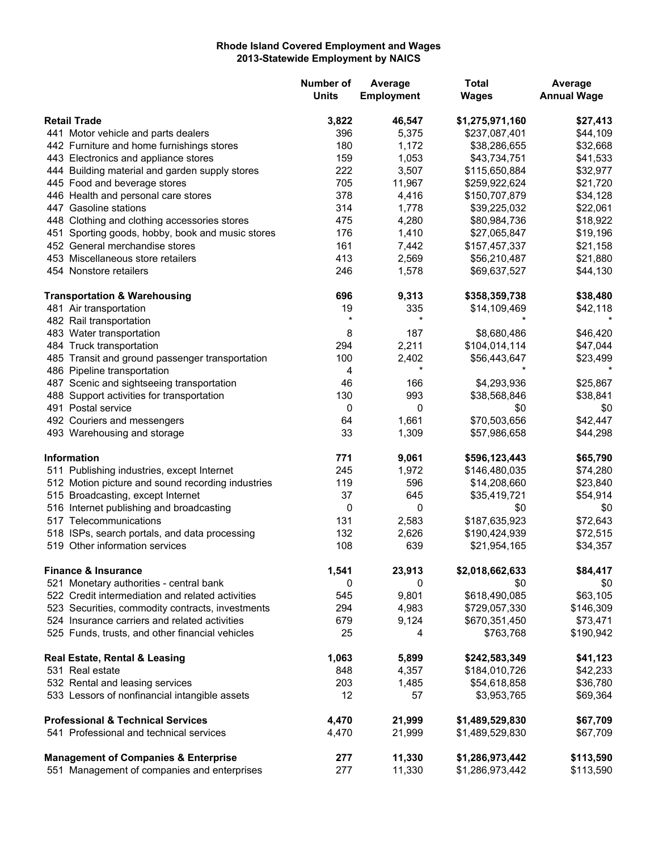## **Rhode Island Covered Employment and Wages 2013-Statewide Employment by NAICS**

|                                              |                                                   | <b>Number of</b><br><b>Units</b> | Average<br>Employment | <b>Total</b><br><b>Wages</b> | Average<br><b>Annual Wage</b> |
|----------------------------------------------|---------------------------------------------------|----------------------------------|-----------------------|------------------------------|-------------------------------|
| <b>Retail Trade</b>                          |                                                   | 3,822                            | 46,547                | \$1,275,971,160              | \$27,413                      |
|                                              | 441 Motor vehicle and parts dealers               | 396                              | 5,375                 | \$237,087,401                | \$44,109                      |
|                                              | 442 Furniture and home furnishings stores         | 180                              | 1,172                 | \$38,286,655                 | \$32,668                      |
|                                              | 443 Electronics and appliance stores              | 159                              | 1,053                 | \$43,734,751                 | \$41,533                      |
|                                              | 444 Building material and garden supply stores    | 222                              | 3,507                 | \$115,650,884                | \$32,977                      |
|                                              | 445 Food and beverage stores                      | 705                              | 11,967                | \$259,922,624                | \$21,720                      |
|                                              | 446 Health and personal care stores               | 378                              | 4,416                 | \$150,707,879                | \$34,128                      |
|                                              | 447 Gasoline stations                             | 314                              | 1,778                 | \$39,225,032                 | \$22,061                      |
|                                              | 448 Clothing and clothing accessories stores      | 475                              | 4,280                 | \$80,984,736                 | \$18,922                      |
|                                              | 451 Sporting goods, hobby, book and music stores  | 176                              | 1,410                 | \$27,065,847                 | \$19,196                      |
|                                              | 452 General merchandise stores                    | 161                              | 7,442                 | \$157,457,337                | \$21,158                      |
|                                              | 453 Miscellaneous store retailers                 | 413                              | 2,569                 | \$56,210,487                 | \$21,880                      |
|                                              | 454 Nonstore retailers                            | 246                              | 1,578                 | \$69,637,527                 | \$44,130                      |
|                                              | <b>Transportation &amp; Warehousing</b>           | 696                              | 9,313                 | \$358,359,738                | \$38,480                      |
|                                              | 481 Air transportation                            | 19                               | 335                   | \$14,109,469                 | \$42,118                      |
|                                              | 482 Rail transportation                           | $\star$                          | $\star$               |                              |                               |
|                                              | 483 Water transportation                          | 8                                | 187                   | \$8,680,486                  | \$46,420                      |
|                                              | 484 Truck transportation                          | 294                              | 2,211                 | \$104,014,114                | \$47,044                      |
|                                              | 485 Transit and ground passenger transportation   | 100                              | 2,402                 | \$56,443,647                 | \$23,499                      |
|                                              | 486 Pipeline transportation                       | 4                                | $\star$               |                              |                               |
|                                              | 487 Scenic and sightseeing transportation         | 46                               | 166                   | \$4,293,936                  | \$25,867                      |
|                                              | 488 Support activities for transportation         | 130                              | 993                   | \$38,568,846                 | \$38,841                      |
|                                              | 491 Postal service                                | 0                                | 0                     | \$0                          | \$0                           |
|                                              | 492 Couriers and messengers                       | 64                               | 1,661                 | \$70,503,656                 | \$42,447                      |
|                                              | 493 Warehousing and storage                       | 33                               | 1,309                 | \$57,986,658                 | \$44,298                      |
|                                              | <b>Information</b>                                | 771                              | 9,061                 | \$596,123,443                | \$65,790                      |
|                                              | 511 Publishing industries, except Internet        | 245                              | 1,972                 | \$146,480,035                | \$74,280                      |
|                                              | 512 Motion picture and sound recording industries | 119                              | 596                   | \$14,208,660                 | \$23,840                      |
|                                              | 515 Broadcasting, except Internet                 | 37                               | 645                   | \$35,419,721                 | \$54,914                      |
|                                              | 516 Internet publishing and broadcasting          | 0                                | 0                     | \$0                          | \$0                           |
|                                              | 517 Telecommunications                            | 131                              | 2,583                 | \$187,635,923                | \$72,643                      |
|                                              | 518 ISPs, search portals, and data processing     | 132                              | 2,626                 | \$190,424,939                | \$72,515                      |
|                                              | 519 Other information services                    | 108                              | 639                   | \$21,954,165                 | \$34,357                      |
|                                              | <b>Finance &amp; Insurance</b>                    | 1,541                            | 23,913                | \$2,018,662,633              | \$84,417                      |
|                                              | 521 Monetary authorities - central bank           | 0                                | 0                     | \$0                          | \$0                           |
|                                              | 522 Credit intermediation and related activities  | 545                              | 9,801                 | \$618,490,085                | \$63,105                      |
|                                              | 523 Securities, commodity contracts, investments  | 294                              | 4,983                 | \$729,057,330                | \$146,309                     |
|                                              | 524 Insurance carriers and related activities     | 679                              | 9,124                 | \$670,351,450                | \$73,471                      |
|                                              | 525 Funds, trusts, and other financial vehicles   | 25                               | 4                     | \$763,768                    | \$190,942                     |
|                                              | Real Estate, Rental & Leasing                     | 1,063                            | 5,899                 | \$242,583,349                | \$41,123                      |
|                                              | 531 Real estate                                   | 848                              | 4,357                 | \$184,010,726                | \$42,233                      |
|                                              | 532 Rental and leasing services                   | 203                              | 1,485                 | \$54,618,858                 | \$36,780                      |
|                                              | 533 Lessors of nonfinancial intangible assets     | 12                               | 57                    | \$3,953,765                  | \$69,364                      |
| <b>Professional &amp; Technical Services</b> |                                                   | 4,470                            | 21,999                | \$1,489,529,830              | \$67,709                      |
|                                              | 541 Professional and technical services           | 4,470                            | 21,999                | \$1,489,529,830              | \$67,709                      |
|                                              | <b>Management of Companies &amp; Enterprise</b>   | 277                              | 11,330                | \$1,286,973,442              | \$113,590                     |
|                                              | 551 Management of companies and enterprises       | 277                              | 11,330                | \$1,286,973,442              | \$113,590                     |